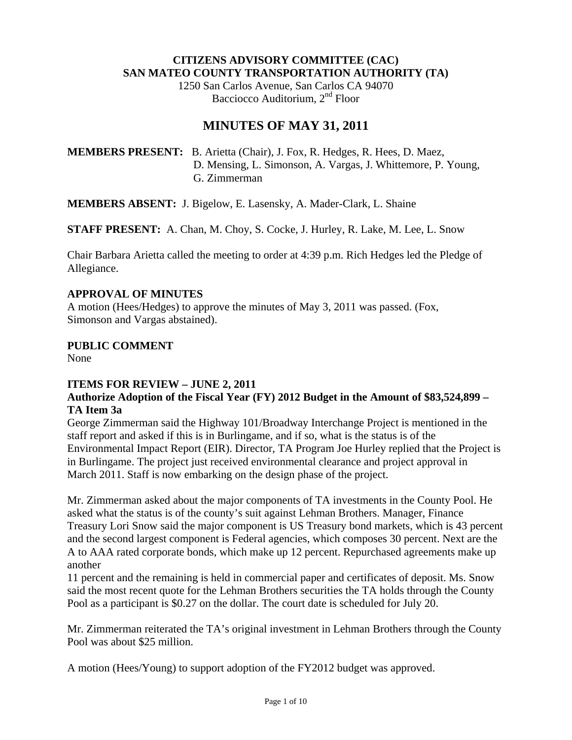#### **CITIZENS ADVISORY COMMITTEE (CAC) SAN MATEO COUNTY TRANSPORTATION AUTHORITY (TA)**

1250 San Carlos Avenue, San Carlos CA 94070 Bacciocco Auditorium, 2<sup>nd</sup> Floor

# **MINUTES OF MAY 31, 2011**

**MEMBERS PRESENT:** B. Arietta (Chair), J. Fox, R. Hedges, R. Hees, D. Maez, D. Mensing, L. Simonson, A. Vargas, J. Whittemore, P. Young, G. Zimmerman

**MEMBERS ABSENT:** J. Bigelow, E. Lasensky, A. Mader-Clark, L. Shaine

**STAFF PRESENT:** A. Chan, M. Choy, S. Cocke, J. Hurley, R. Lake, M. Lee, L. Snow

Chair Barbara Arietta called the meeting to order at 4:39 p.m. Rich Hedges led the Pledge of Allegiance.

## **APPROVAL OF MINUTES**

A motion (Hees/Hedges) to approve the minutes of May 3, 2011 was passed. (Fox, Simonson and Vargas abstained).

## **PUBLIC COMMENT**

None

# **ITEMS FOR REVIEW – JUNE 2, 2011**

## **Authorize Adoption of the Fiscal Year (FY) 2012 Budget in the Amount of \$83,524,899 – TA Item 3a**

George Zimmerman said the Highway 101/Broadway Interchange Project is mentioned in the staff report and asked if this is in Burlingame, and if so, what is the status is of the Environmental Impact Report (EIR). Director, TA Program Joe Hurley replied that the Project is in Burlingame. The project just received environmental clearance and project approval in March 2011. Staff is now embarking on the design phase of the project.

Mr. Zimmerman asked about the major components of TA investments in the County Pool. He asked what the status is of the county's suit against Lehman Brothers. Manager, Finance Treasury Lori Snow said the major component is US Treasury bond markets, which is 43 percent and the second largest component is Federal agencies, which composes 30 percent. Next are the A to AAA rated corporate bonds, which make up 12 percent. Repurchased agreements make up another

11 percent and the remaining is held in commercial paper and certificates of deposit. Ms. Snow said the most recent quote for the Lehman Brothers securities the TA holds through the County Pool as a participant is \$0.27 on the dollar. The court date is scheduled for July 20.

Mr. Zimmerman reiterated the TA's original investment in Lehman Brothers through the County Pool was about \$25 million.

A motion (Hees/Young) to support adoption of the FY2012 budget was approved.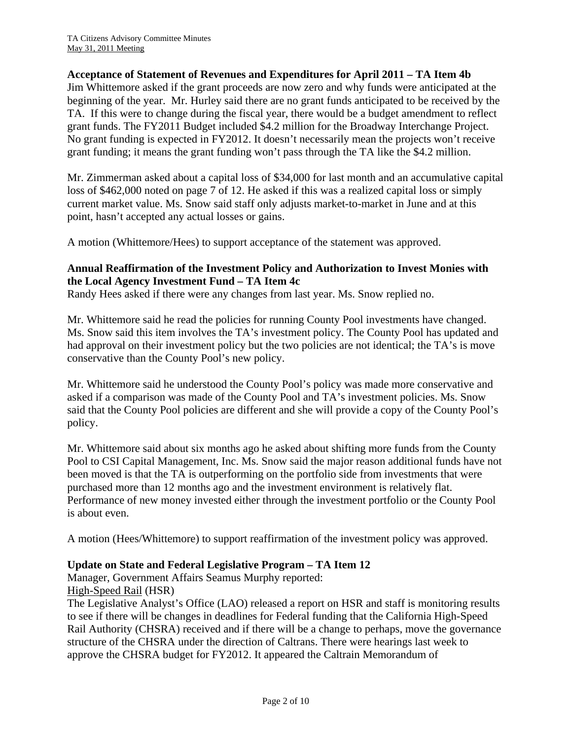#### **Acceptance of Statement of Revenues and Expenditures for April 2011 – TA Item 4b**

Jim Whittemore asked if the grant proceeds are now zero and why funds were anticipated at the beginning of the year. Mr. Hurley said there are no grant funds anticipated to be received by the TA. If this were to change during the fiscal year, there would be a budget amendment to reflect grant funds. The FY2011 Budget included \$4.2 million for the Broadway Interchange Project. No grant funding is expected in FY2012. It doesn't necessarily mean the projects won't receive grant funding; it means the grant funding won't pass through the TA like the \$4.2 million.

Mr. Zimmerman asked about a capital loss of \$34,000 for last month and an accumulative capital loss of \$462,000 noted on page 7 of 12. He asked if this was a realized capital loss or simply current market value. Ms. Snow said staff only adjusts market-to-market in June and at this point, hasn't accepted any actual losses or gains.

A motion (Whittemore/Hees) to support acceptance of the statement was approved.

## **Annual Reaffirmation of the Investment Policy and Authorization to Invest Monies with the Local Agency Investment Fund – TA Item 4c**

Randy Hees asked if there were any changes from last year. Ms. Snow replied no.

Mr. Whittemore said he read the policies for running County Pool investments have changed. Ms. Snow said this item involves the TA's investment policy. The County Pool has updated and had approval on their investment policy but the two policies are not identical; the TA's is move conservative than the County Pool's new policy.

Mr. Whittemore said he understood the County Pool's policy was made more conservative and asked if a comparison was made of the County Pool and TA's investment policies. Ms. Snow said that the County Pool policies are different and she will provide a copy of the County Pool's policy.

Mr. Whittemore said about six months ago he asked about shifting more funds from the County Pool to CSI Capital Management, Inc. Ms. Snow said the major reason additional funds have not been moved is that the TA is outperforming on the portfolio side from investments that were purchased more than 12 months ago and the investment environment is relatively flat. Performance of new money invested either through the investment portfolio or the County Pool is about even.

A motion (Hees/Whittemore) to support reaffirmation of the investment policy was approved.

# **Update on State and Federal Legislative Program – TA Item 12**

Manager, Government Affairs Seamus Murphy reported: High-Speed Rail (HSR)

The Legislative Analyst's Office (LAO) released a report on HSR and staff is monitoring results to see if there will be changes in deadlines for Federal funding that the California High-Speed Rail Authority (CHSRA) received and if there will be a change to perhaps, move the governance structure of the CHSRA under the direction of Caltrans. There were hearings last week to approve the CHSRA budget for FY2012. It appeared the Caltrain Memorandum of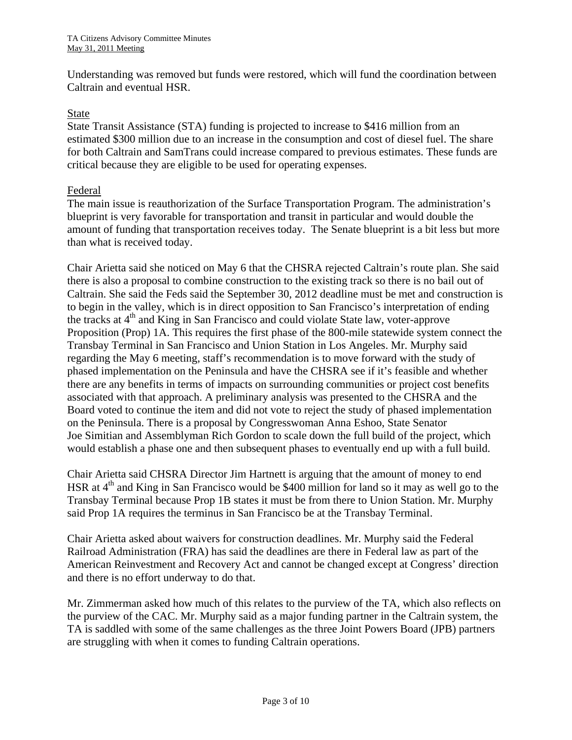Understanding was removed but funds were restored, which will fund the coordination between Caltrain and eventual HSR.

#### State

State Transit Assistance (STA) funding is projected to increase to \$416 million from an estimated \$300 million due to an increase in the consumption and cost of diesel fuel. The share for both Caltrain and SamTrans could increase compared to previous estimates. These funds are critical because they are eligible to be used for operating expenses.

#### Federal

The main issue is reauthorization of the Surface Transportation Program. The administration's blueprint is very favorable for transportation and transit in particular and would double the amount of funding that transportation receives today. The Senate blueprint is a bit less but more than what is received today.

Chair Arietta said she noticed on May 6 that the CHSRA rejected Caltrain's route plan. She said there is also a proposal to combine construction to the existing track so there is no bail out of Caltrain. She said the Feds said the September 30, 2012 deadline must be met and construction is to begin in the valley, which is in direct opposition to San Francisco's interpretation of ending the tracks at 4<sup>th</sup> and King in San Francisco and could violate State law, voter-approve Proposition (Prop) 1A. This requires the first phase of the 800-mile statewide system connect the Transbay Terminal in San Francisco and Union Station in Los Angeles. Mr. Murphy said regarding the May 6 meeting, staff's recommendation is to move forward with the study of phased implementation on the Peninsula and have the CHSRA see if it's feasible and whether there are any benefits in terms of impacts on surrounding communities or project cost benefits associated with that approach. A preliminary analysis was presented to the CHSRA and the Board voted to continue the item and did not vote to reject the study of phased implementation on the Peninsula. There is a proposal by Congresswoman Anna Eshoo, State Senator Joe Simitian and Assemblyman Rich Gordon to scale down the full build of the project, which would establish a phase one and then subsequent phases to eventually end up with a full build.

Chair Arietta said CHSRA Director Jim Hartnett is arguing that the amount of money to end HSR at  $4<sup>th</sup>$  and King in San Francisco would be \$400 million for land so it may as well go to the Transbay Terminal because Prop 1B states it must be from there to Union Station. Mr. Murphy said Prop 1A requires the terminus in San Francisco be at the Transbay Terminal.

Chair Arietta asked about waivers for construction deadlines. Mr. Murphy said the Federal Railroad Administration (FRA) has said the deadlines are there in Federal law as part of the American Reinvestment and Recovery Act and cannot be changed except at Congress' direction and there is no effort underway to do that.

Mr. Zimmerman asked how much of this relates to the purview of the TA, which also reflects on the purview of the CAC. Mr. Murphy said as a major funding partner in the Caltrain system, the TA is saddled with some of the same challenges as the three Joint Powers Board (JPB) partners are struggling with when it comes to funding Caltrain operations.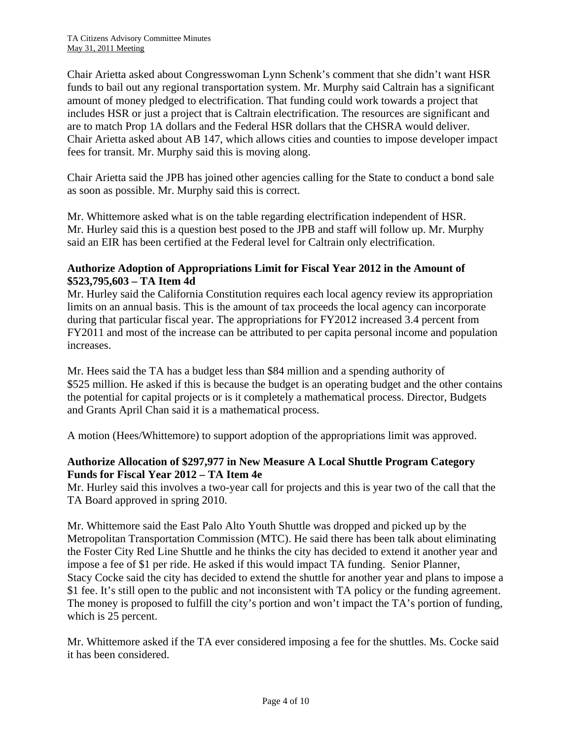Chair Arietta asked about Congresswoman Lynn Schenk's comment that she didn't want HSR funds to bail out any regional transportation system. Mr. Murphy said Caltrain has a significant amount of money pledged to electrification. That funding could work towards a project that includes HSR or just a project that is Caltrain electrification. The resources are significant and are to match Prop 1A dollars and the Federal HSR dollars that the CHSRA would deliver. Chair Arietta asked about AB 147, which allows cities and counties to impose developer impact fees for transit. Mr. Murphy said this is moving along.

Chair Arietta said the JPB has joined other agencies calling for the State to conduct a bond sale as soon as possible. Mr. Murphy said this is correct.

Mr. Whittemore asked what is on the table regarding electrification independent of HSR. Mr. Hurley said this is a question best posed to the JPB and staff will follow up. Mr. Murphy said an EIR has been certified at the Federal level for Caltrain only electrification.

## **Authorize Adoption of Appropriations Limit for Fiscal Year 2012 in the Amount of \$523,795,603 – TA Item 4d**

Mr. Hurley said the California Constitution requires each local agency review its appropriation limits on an annual basis. This is the amount of tax proceeds the local agency can incorporate during that particular fiscal year. The appropriations for FY2012 increased 3.4 percent from FY2011 and most of the increase can be attributed to per capita personal income and population increases.

Mr. Hees said the TA has a budget less than \$84 million and a spending authority of \$525 million. He asked if this is because the budget is an operating budget and the other contains the potential for capital projects or is it completely a mathematical process. Director, Budgets and Grants April Chan said it is a mathematical process.

A motion (Hees/Whittemore) to support adoption of the appropriations limit was approved.

## **Authorize Allocation of \$297,977 in New Measure A Local Shuttle Program Category Funds for Fiscal Year 2012 – TA Item 4e**

Mr. Hurley said this involves a two-year call for projects and this is year two of the call that the TA Board approved in spring 2010.

Mr. Whittemore said the East Palo Alto Youth Shuttle was dropped and picked up by the Metropolitan Transportation Commission (MTC). He said there has been talk about eliminating the Foster City Red Line Shuttle and he thinks the city has decided to extend it another year and impose a fee of \$1 per ride. He asked if this would impact TA funding. Senior Planner, Stacy Cocke said the city has decided to extend the shuttle for another year and plans to impose a \$1 fee. It's still open to the public and not inconsistent with TA policy or the funding agreement. The money is proposed to fulfill the city's portion and won't impact the TA's portion of funding, which is 25 percent.

Mr. Whittemore asked if the TA ever considered imposing a fee for the shuttles. Ms. Cocke said it has been considered.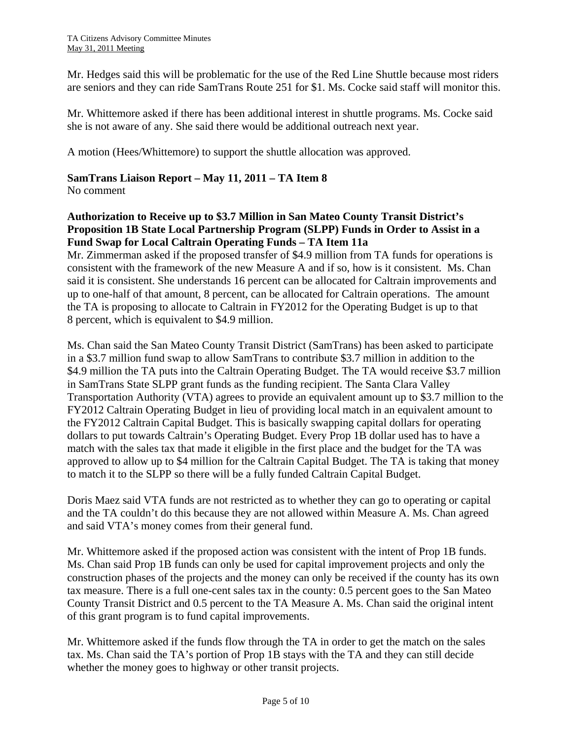Mr. Hedges said this will be problematic for the use of the Red Line Shuttle because most riders are seniors and they can ride SamTrans Route 251 for \$1. Ms. Cocke said staff will monitor this.

Mr. Whittemore asked if there has been additional interest in shuttle programs. Ms. Cocke said she is not aware of any. She said there would be additional outreach next year.

A motion (Hees/Whittemore) to support the shuttle allocation was approved.

## **SamTrans Liaison Report – May 11, 2011 – TA Item 8**

No comment

# **Authorization to Receive up to \$3.7 Million in San Mateo County Transit District's Proposition 1B State Local Partnership Program (SLPP) Funds in Order to Assist in a Fund Swap for Local Caltrain Operating Funds – TA Item 11a**

Mr. Zimmerman asked if the proposed transfer of \$4.9 million from TA funds for operations is consistent with the framework of the new Measure A and if so, how is it consistent. Ms. Chan said it is consistent. She understands 16 percent can be allocated for Caltrain improvements and up to one-half of that amount, 8 percent, can be allocated for Caltrain operations. The amount the TA is proposing to allocate to Caltrain in FY2012 for the Operating Budget is up to that 8 percent, which is equivalent to \$4.9 million.

Ms. Chan said the San Mateo County Transit District (SamTrans) has been asked to participate in a \$3.7 million fund swap to allow SamTrans to contribute \$3.7 million in addition to the \$4.9 million the TA puts into the Caltrain Operating Budget. The TA would receive \$3.7 million in SamTrans State SLPP grant funds as the funding recipient. The Santa Clara Valley Transportation Authority (VTA) agrees to provide an equivalent amount up to \$3.7 million to the FY2012 Caltrain Operating Budget in lieu of providing local match in an equivalent amount to the FY2012 Caltrain Capital Budget. This is basically swapping capital dollars for operating dollars to put towards Caltrain's Operating Budget. Every Prop 1B dollar used has to have a match with the sales tax that made it eligible in the first place and the budget for the TA was approved to allow up to \$4 million for the Caltrain Capital Budget. The TA is taking that money to match it to the SLPP so there will be a fully funded Caltrain Capital Budget.

Doris Maez said VTA funds are not restricted as to whether they can go to operating or capital and the TA couldn't do this because they are not allowed within Measure A. Ms. Chan agreed and said VTA's money comes from their general fund.

Mr. Whittemore asked if the proposed action was consistent with the intent of Prop 1B funds. Ms. Chan said Prop 1B funds can only be used for capital improvement projects and only the construction phases of the projects and the money can only be received if the county has its own tax measure. There is a full one-cent sales tax in the county: 0.5 percent goes to the San Mateo County Transit District and 0.5 percent to the TA Measure A. Ms. Chan said the original intent of this grant program is to fund capital improvements.

Mr. Whittemore asked if the funds flow through the TA in order to get the match on the sales tax. Ms. Chan said the TA's portion of Prop 1B stays with the TA and they can still decide whether the money goes to highway or other transit projects.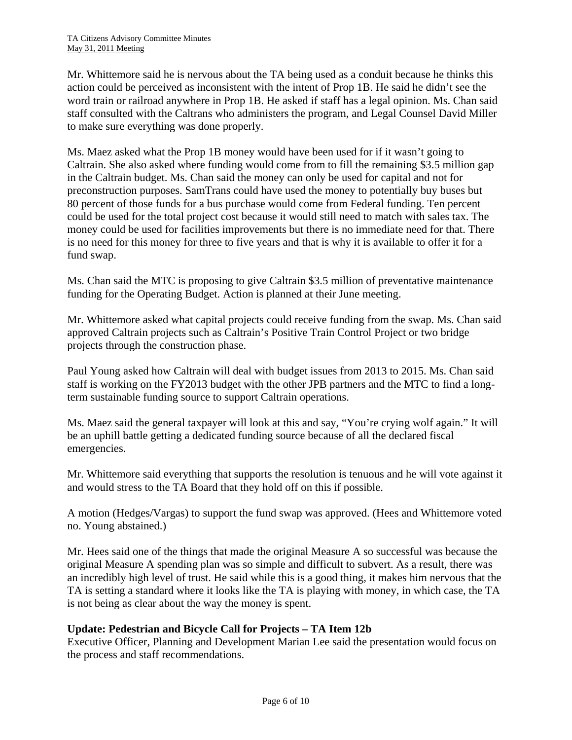Mr. Whittemore said he is nervous about the TA being used as a conduit because he thinks this action could be perceived as inconsistent with the intent of Prop 1B. He said he didn't see the word train or railroad anywhere in Prop 1B. He asked if staff has a legal opinion. Ms. Chan said staff consulted with the Caltrans who administers the program, and Legal Counsel David Miller to make sure everything was done properly.

Ms. Maez asked what the Prop 1B money would have been used for if it wasn't going to Caltrain. She also asked where funding would come from to fill the remaining \$3.5 million gap in the Caltrain budget. Ms. Chan said the money can only be used for capital and not for preconstruction purposes. SamTrans could have used the money to potentially buy buses but 80 percent of those funds for a bus purchase would come from Federal funding. Ten percent could be used for the total project cost because it would still need to match with sales tax. The money could be used for facilities improvements but there is no immediate need for that. There is no need for this money for three to five years and that is why it is available to offer it for a fund swap.

Ms. Chan said the MTC is proposing to give Caltrain \$3.5 million of preventative maintenance funding for the Operating Budget. Action is planned at their June meeting.

Mr. Whittemore asked what capital projects could receive funding from the swap. Ms. Chan said approved Caltrain projects such as Caltrain's Positive Train Control Project or two bridge projects through the construction phase.

Paul Young asked how Caltrain will deal with budget issues from 2013 to 2015. Ms. Chan said staff is working on the FY2013 budget with the other JPB partners and the MTC to find a longterm sustainable funding source to support Caltrain operations.

Ms. Maez said the general taxpayer will look at this and say, "You're crying wolf again." It will be an uphill battle getting a dedicated funding source because of all the declared fiscal emergencies.

Mr. Whittemore said everything that supports the resolution is tenuous and he will vote against it and would stress to the TA Board that they hold off on this if possible.

A motion (Hedges/Vargas) to support the fund swap was approved. (Hees and Whittemore voted no. Young abstained.)

Mr. Hees said one of the things that made the original Measure A so successful was because the original Measure A spending plan was so simple and difficult to subvert. As a result, there was an incredibly high level of trust. He said while this is a good thing, it makes him nervous that the TA is setting a standard where it looks like the TA is playing with money, in which case, the TA is not being as clear about the way the money is spent.

# **Update: Pedestrian and Bicycle Call for Projects – TA Item 12b**

Executive Officer, Planning and Development Marian Lee said the presentation would focus on the process and staff recommendations.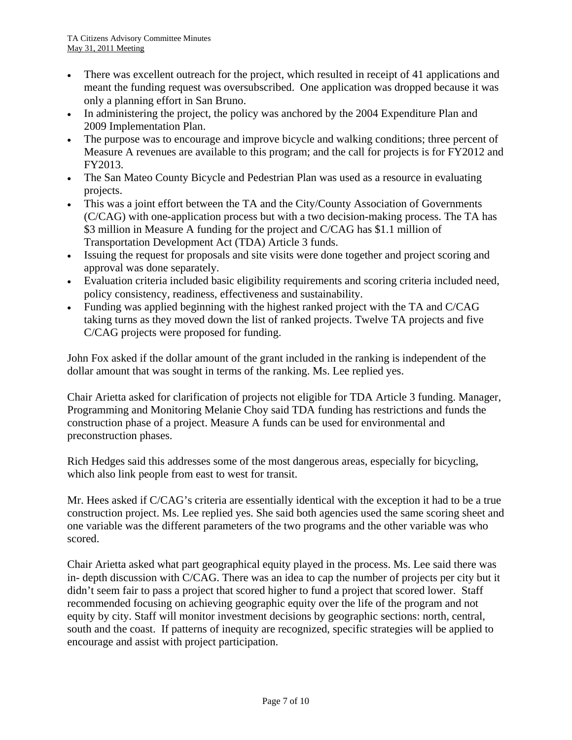- There was excellent outreach for the project, which resulted in receipt of 41 applications and meant the funding request was oversubscribed. One application was dropped because it was only a planning effort in San Bruno.
- In administering the project, the policy was anchored by the 2004 Expenditure Plan and 2009 Implementation Plan.
- The purpose was to encourage and improve bicycle and walking conditions; three percent of Measure A revenues are available to this program; and the call for projects is for FY2012 and FY2013.
- The San Mateo County Bicycle and Pedestrian Plan was used as a resource in evaluating projects.
- This was a joint effort between the TA and the City/County Association of Governments (C/CAG) with one-application process but with a two decision-making process. The TA has \$3 million in Measure A funding for the project and C/CAG has \$1.1 million of Transportation Development Act (TDA) Article 3 funds.
- Issuing the request for proposals and site visits were done together and project scoring and approval was done separately.
- Evaluation criteria included basic eligibility requirements and scoring criteria included need, policy consistency, readiness, effectiveness and sustainability.
- Funding was applied beginning with the highest ranked project with the TA and C/CAG taking turns as they moved down the list of ranked projects. Twelve TA projects and five C/CAG projects were proposed for funding.

John Fox asked if the dollar amount of the grant included in the ranking is independent of the dollar amount that was sought in terms of the ranking. Ms. Lee replied yes.

Chair Arietta asked for clarification of projects not eligible for TDA Article 3 funding. Manager, Programming and Monitoring Melanie Choy said TDA funding has restrictions and funds the construction phase of a project. Measure A funds can be used for environmental and preconstruction phases.

Rich Hedges said this addresses some of the most dangerous areas, especially for bicycling, which also link people from east to west for transit.

Mr. Hees asked if C/CAG's criteria are essentially identical with the exception it had to be a true construction project. Ms. Lee replied yes. She said both agencies used the same scoring sheet and one variable was the different parameters of the two programs and the other variable was who scored.

Chair Arietta asked what part geographical equity played in the process. Ms. Lee said there was in- depth discussion with C/CAG. There was an idea to cap the number of projects per city but it didn't seem fair to pass a project that scored higher to fund a project that scored lower. Staff recommended focusing on achieving geographic equity over the life of the program and not equity by city. Staff will monitor investment decisions by geographic sections: north, central, south and the coast. If patterns of inequity are recognized, specific strategies will be applied to encourage and assist with project participation.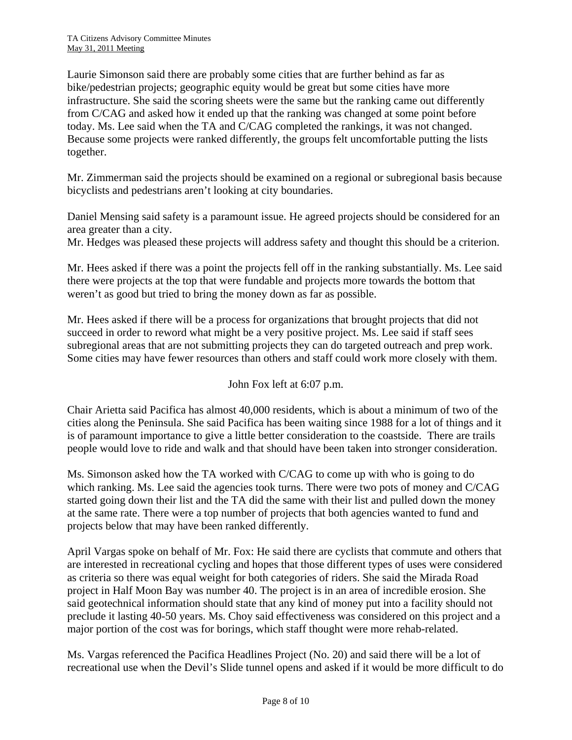Laurie Simonson said there are probably some cities that are further behind as far as bike/pedestrian projects; geographic equity would be great but some cities have more infrastructure. She said the scoring sheets were the same but the ranking came out differently from C/CAG and asked how it ended up that the ranking was changed at some point before today. Ms. Lee said when the TA and C/CAG completed the rankings, it was not changed. Because some projects were ranked differently, the groups felt uncomfortable putting the lists together.

Mr. Zimmerman said the projects should be examined on a regional or subregional basis because bicyclists and pedestrians aren't looking at city boundaries.

Daniel Mensing said safety is a paramount issue. He agreed projects should be considered for an area greater than a city.

Mr. Hedges was pleased these projects will address safety and thought this should be a criterion.

Mr. Hees asked if there was a point the projects fell off in the ranking substantially. Ms. Lee said there were projects at the top that were fundable and projects more towards the bottom that weren't as good but tried to bring the money down as far as possible.

Mr. Hees asked if there will be a process for organizations that brought projects that did not succeed in order to reword what might be a very positive project. Ms. Lee said if staff sees subregional areas that are not submitting projects they can do targeted outreach and prep work. Some cities may have fewer resources than others and staff could work more closely with them.

John Fox left at 6:07 p.m.

Chair Arietta said Pacifica has almost 40,000 residents, which is about a minimum of two of the cities along the Peninsula. She said Pacifica has been waiting since 1988 for a lot of things and it is of paramount importance to give a little better consideration to the coastside. There are trails people would love to ride and walk and that should have been taken into stronger consideration.

Ms. Simonson asked how the TA worked with C/CAG to come up with who is going to do which ranking. Ms. Lee said the agencies took turns. There were two pots of money and C/CAG started going down their list and the TA did the same with their list and pulled down the money at the same rate. There were a top number of projects that both agencies wanted to fund and projects below that may have been ranked differently.

April Vargas spoke on behalf of Mr. Fox: He said there are cyclists that commute and others that are interested in recreational cycling and hopes that those different types of uses were considered as criteria so there was equal weight for both categories of riders. She said the Mirada Road project in Half Moon Bay was number 40. The project is in an area of incredible erosion. She said geotechnical information should state that any kind of money put into a facility should not preclude it lasting 40-50 years. Ms. Choy said effectiveness was considered on this project and a major portion of the cost was for borings, which staff thought were more rehab-related.

Ms. Vargas referenced the Pacifica Headlines Project (No. 20) and said there will be a lot of recreational use when the Devil's Slide tunnel opens and asked if it would be more difficult to do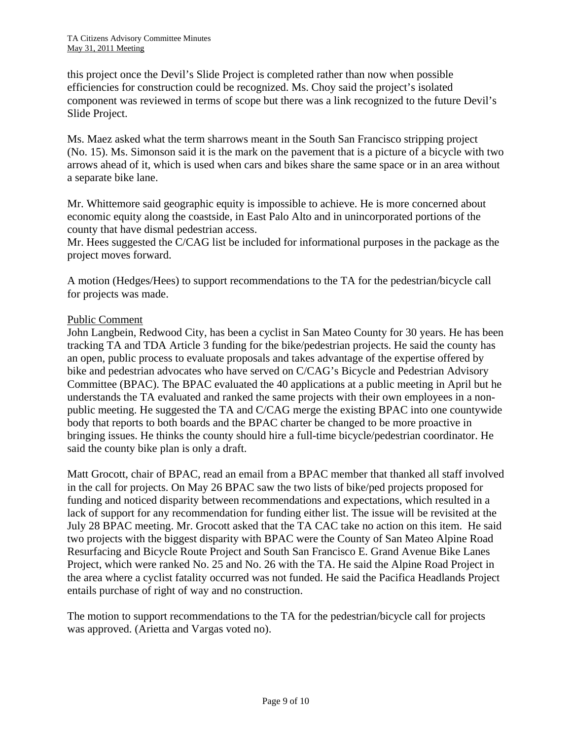this project once the Devil's Slide Project is completed rather than now when possible efficiencies for construction could be recognized. Ms. Choy said the project's isolated component was reviewed in terms of scope but there was a link recognized to the future Devil's Slide Project.

Ms. Maez asked what the term sharrows meant in the South San Francisco stripping project (No. 15). Ms. Simonson said it is the mark on the pavement that is a picture of a bicycle with two arrows ahead of it, which is used when cars and bikes share the same space or in an area without a separate bike lane.

Mr. Whittemore said geographic equity is impossible to achieve. He is more concerned about economic equity along the coastside, in East Palo Alto and in unincorporated portions of the county that have dismal pedestrian access.

Mr. Hees suggested the C/CAG list be included for informational purposes in the package as the project moves forward.

A motion (Hedges/Hees) to support recommendations to the TA for the pedestrian/bicycle call for projects was made.

## Public Comment

John Langbein, Redwood City, has been a cyclist in San Mateo County for 30 years. He has been tracking TA and TDA Article 3 funding for the bike/pedestrian projects. He said the county has an open, public process to evaluate proposals and takes advantage of the expertise offered by bike and pedestrian advocates who have served on C/CAG's Bicycle and Pedestrian Advisory Committee (BPAC). The BPAC evaluated the 40 applications at a public meeting in April but he understands the TA evaluated and ranked the same projects with their own employees in a nonpublic meeting. He suggested the TA and C/CAG merge the existing BPAC into one countywide body that reports to both boards and the BPAC charter be changed to be more proactive in bringing issues. He thinks the county should hire a full-time bicycle/pedestrian coordinator. He said the county bike plan is only a draft.

Matt Grocott, chair of BPAC, read an email from a BPAC member that thanked all staff involved in the call for projects. On May 26 BPAC saw the two lists of bike/ped projects proposed for funding and noticed disparity between recommendations and expectations, which resulted in a lack of support for any recommendation for funding either list. The issue will be revisited at the July 28 BPAC meeting. Mr. Grocott asked that the TA CAC take no action on this item. He said two projects with the biggest disparity with BPAC were the County of San Mateo Alpine Road Resurfacing and Bicycle Route Project and South San Francisco E. Grand Avenue Bike Lanes Project, which were ranked No. 25 and No. 26 with the TA. He said the Alpine Road Project in the area where a cyclist fatality occurred was not funded. He said the Pacifica Headlands Project entails purchase of right of way and no construction.

The motion to support recommendations to the TA for the pedestrian/bicycle call for projects was approved. (Arietta and Vargas voted no).